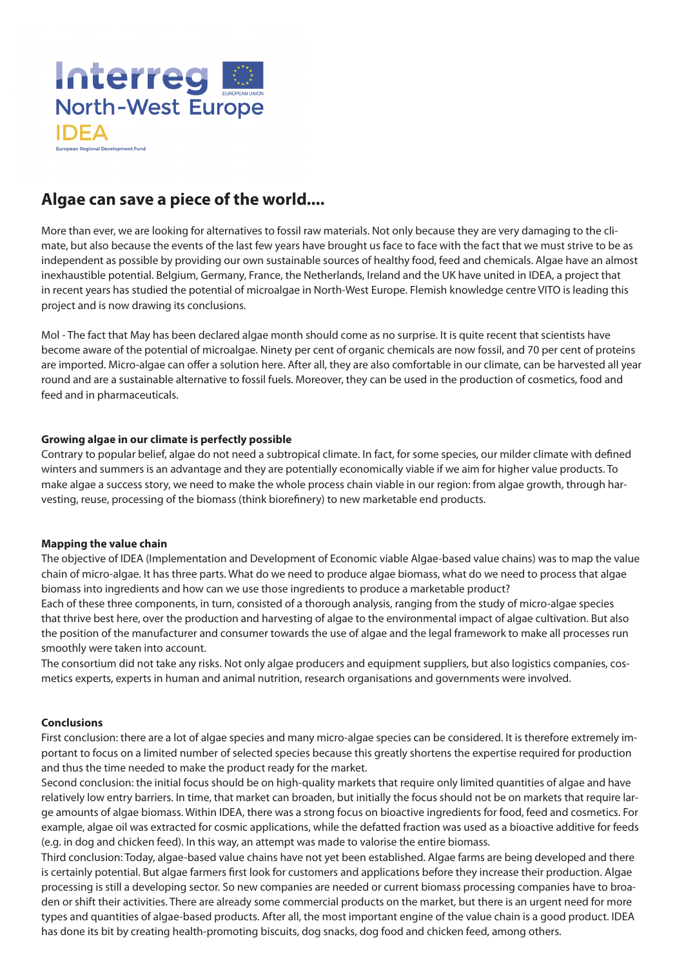

# **Algae can save a piece of the world....**

More than ever, we are looking for alternatives to fossil raw materials. Not only because they are very damaging to the climate, but also because the events of the last few years have brought us face to face with the fact that we must strive to be as independent as possible by providing our own sustainable sources of healthy food, feed and chemicals. Algae have an almost inexhaustible potential. Belgium, Germany, France, the Netherlands, Ireland and the UK have united in IDEA, a project that in recent years has studied the potential of microalgae in North-West Europe. Flemish knowledge centre VITO is leading this project and is now drawing its conclusions.

Mol - The fact that May has been declared algae month should come as no surprise. It is quite recent that scientists have become aware of the potential of microalgae. Ninety per cent of organic chemicals are now fossil, and 70 per cent of proteins are imported. Micro-algae can offer a solution here. After all, they are also comfortable in our climate, can be harvested all year round and are a sustainable alternative to fossil fuels. Moreover, they can be used in the production of cosmetics, food and feed and in pharmaceuticals.

## **Growing algae in our climate is perfectly possible**

Contrary to popular belief, algae do not need a subtropical climate. In fact, for some species, our milder climate with defined winters and summers is an advantage and they are potentially economically viable if we aim for higher value products. To make algae a success story, we need to make the whole process chain viable in our region: from algae growth, through harvesting, reuse, processing of the biomass (think biorefinery) to new marketable end products.

#### **Mapping the value chain**

The objective of IDEA (Implementation and Development of Economic viable Algae-based value chains) was to map the value chain of micro-algae. It has three parts. What do we need to produce algae biomass, what do we need to process that algae biomass into ingredients and how can we use those ingredients to produce a marketable product?

Each of these three components, in turn, consisted of a thorough analysis, ranging from the study of micro-algae species that thrive best here, over the production and harvesting of algae to the environmental impact of algae cultivation. But also the position of the manufacturer and consumer towards the use of algae and the legal framework to make all processes run smoothly were taken into account.

The consortium did not take any risks. Not only algae producers and equipment suppliers, but also logistics companies, cosmetics experts, experts in human and animal nutrition, research organisations and governments were involved.

## **Conclusions**

First conclusion: there are a lot of algae species and many micro-algae species can be considered. It is therefore extremely important to focus on a limited number of selected species because this greatly shortens the expertise required for production and thus the time needed to make the product ready for the market.

Second conclusion: the initial focus should be on high-quality markets that require only limited quantities of algae and have relatively low entry barriers. In time, that market can broaden, but initially the focus should not be on markets that require large amounts of algae biomass. Within IDEA, there was a strong focus on bioactive ingredients for food, feed and cosmetics. For example, algae oil was extracted for cosmic applications, while the defatted fraction was used as a bioactive additive for feeds (e.g. in dog and chicken feed). In this way, an attempt was made to valorise the entire biomass.

Third conclusion: Today, algae-based value chains have not yet been established. Algae farms are being developed and there is certainly potential. But algae farmers first look for customers and applications before they increase their production. Algae processing is still a developing sector. So new companies are needed or current biomass processing companies have to broaden or shift their activities. There are already some commercial products on the market, but there is an urgent need for more types and quantities of algae-based products. After all, the most important engine of the value chain is a good product. IDEA has done its bit by creating health-promoting biscuits, dog snacks, dog food and chicken feed, among others.